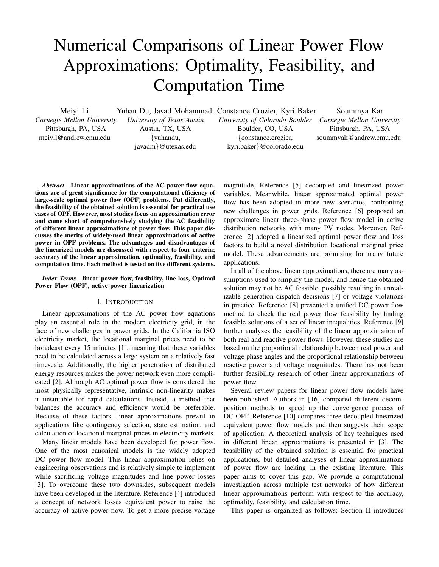# Numerical Comparisons of Linear Power Flow Approximations: Optimality, Feasibility, and Computation Time

Meiyi Li

Yuhan Du, Javad Mohammadi Constance Crozier, Kyri Baker

*Carnegie Mellon University* Pittsburgh, PA, USA meiyil@andrew.cmu.edu

*University of Texas Austin* Austin, TX, USA {yuhandu, javadm}@utexas.edu

*University of Colorado Boulder* Boulder, CO, USA {constance.crozier, kyri.baker}@colorado.edu

Soummya Kar *Carnegie Mellon University* Pittsburgh, PA, USA soummyak@andrew.cmu.edu

*Abstract*—Linear approximations of the AC power flow equations are of great significance for the computational efficiency of large-scale optimal power flow (OPF) problems. Put differently, the feasibility of the obtained solution is essential for practical use cases of OPF. However, most studies focus on approximation error and come short of comprehensively studying the AC feasibility of different linear approximations of power flow. This paper discusses the merits of widely-used linear approximations of active power in OPF problems. The advantages and disadvantages of the linearized models are discussed with respect to four criteria; accuracy of the linear approximation, optimality, feasibility, and computation time. Each method is tested on five different systems.

*Index Terms*—linear power flow, feasibility, line loss, Optimal Power Flow (OPF), active power linearization

# I. INTRODUCTION

Linear approximations of the AC power flow equations play an essential role in the modern electricity grid, in the face of new challenges in power grids. In the California ISO electricity market, the locational marginal prices need to be broadcast every 15 minutes [1], meaning that these variables need to be calculated across a large system on a relatively fast timescale. Additionally, the higher penetration of distributed energy resources makes the power network even more complicated [2]. Although AC optimal power flow is considered the most physically representative, intrinsic non-linearity makes it unsuitable for rapid calculations. Instead, a method that balances the accuracy and efficiency would be preferable. Because of these factors, linear approximations prevail in applications like contingency selection, state estimation, and calculation of locational marginal prices in electricity markets.

Many linear models have been developed for power flow. One of the most canonical models is the widely adopted DC power flow model. This linear approximation relies on engineering observations and is relatively simple to implement while sacrificing voltage magnitudes and line power losses [3]. To overcome these two downsides, subsequent models have been developed in the literature. Reference [4] introduced a concept of network losses equivalent power to raise the accuracy of active power flow. To get a more precise voltage

magnitude, Reference [5] decoupled and linearized power variables. Meanwhile, linear approximated optimal power flow has been adopted in more new scenarios, confronting new challenges in power grids. Reference [6] proposed an approximate linear three-phase power flow model in active distribution networks with many PV nodes. Moreover, Reference [2] adopted a linearized optimal power flow and loss factors to build a novel distribution locational marginal price model. These advancements are promising for many future applications.

In all of the above linear approximations, there are many assumptions used to simplify the model, and hence the obtained solution may not be AC feasible, possibly resulting in unrealizable generation dispatch decisions [7] or voltage violations in practice. Reference [8] presented a unified DC power flow method to check the real power flow feasibility by finding feasible solutions of a set of linear inequalities. Reference [9] further analyzes the feasibility of the linear approximation of both real and reactive power flows. However, these studies are based on the proportional relationship between real power and voltage phase angles and the proportional relationship between reactive power and voltage magnitudes. There has not been further feasibility research of other linear approximations of power flow.

Several review papers for linear power flow models have been published. Authors in [16] compared different decomposition methods to speed up the convergence process of DC OPF. Reference [10] compares three decoupled linearized equivalent power flow models and then suggests their scope of application. A theoretical analysis of key techniques used in different linear approximations is presented in [3]. The feasibility of the obtained solution is essential for practical applications, but detailed analyses of linear approximations of power flow are lacking in the existing literature. This paper aims to cover this gap. We provide a computational investigation across multiple test networks of how different linear approximations perform with respect to the accuracy, optimality, feasibility, and calculation time.

This paper is organized as follows: Section II introduces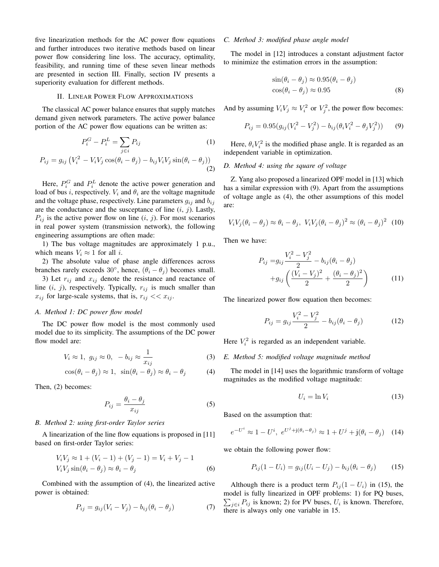five linearization methods for the AC power flow equations and further introduces two iterative methods based on linear power flow considering line loss. The accuracy, optimality, feasibility, and running time of these seven linear methods are presented in section III. Finally, section IV presents a superiority evaluation for different methods.

# II. LINEAR POWER FLOW APPROXIMATIONS

The classical AC power balance ensures that supply matches demand given network parameters. The active power balance portion of the AC power flow equations can be written as:

$$
P_i^G - P_i^L = \sum_{j \in i} P_{ij} \tag{1}
$$

$$
P_{ij} = g_{ij} \left( V_i^2 - V_i V_j \cos(\theta_i - \theta_j) - b_{ij} V_i V_j \sin(\theta_i - \theta_j) \right)
$$
\n(2)

Here,  $P_i^G$  and  $P_i^L$  denote the active power generation and load of bus i, respectively.  $V_i$  and  $\theta_i$  are the voltage magnitude and the voltage phase, respectively. Line parameters  $g_{ij}$  and  $b_{ij}$ are the conductance and the susceptance of line  $(i, j)$ . Lastly,  $P_{ij}$  is the active power flow on line  $(i, j)$ . For most scenarios in real power system (transmission network), the following engineering assumptions are often made:

1) The bus voltage magnitudes are approximately 1 p.u., which means  $V_i \approx 1$  for all *i*.

2) The absolute value of phase angle differences across branches rarely exceeds 30°, hence,  $(\theta_i - \theta_j)$  becomes small.

3) Let  $r_{ij}$  and  $x_{ij}$  denote the resistance and reactance of line  $(i, j)$ , respectively. Typically,  $r_{ij}$  is much smaller than  $x_{ij}$  for large-scale systems, that is,  $r_{ij} \ll x_{ij}$ .

## *A. Method 1: DC power flow model*

The DC power flow model is the most commonly used model due to its simplicity. The assumptions of the DC power flow model are:

$$
V_i \approx 1, \ g_{ij} \approx 0, \ -b_{ij} \approx \frac{1}{x_{ij}} \tag{3}
$$

$$
\cos(\theta_i - \theta_j) \approx 1, \ \sin(\theta_i - \theta_j) \approx \theta_i - \theta_j \tag{4}
$$

Then, (2) becomes:

$$
P_{ij} = \frac{\theta_i - \theta_j}{x_{ij}}\tag{5}
$$

## *B. Method 2: using first-order Taylor series*

A linearization of the line flow equations is proposed in [11] based on first-order Taylor series:

$$
V_i V_j \approx 1 + (V_i - 1) + (V_j - 1) = V_i + V_j - 1
$$
  
\n
$$
V_i V_j \sin(\theta_i - \theta_j) \approx \theta_i - \theta_j
$$
 (6)

Combined with the assumption of (4), the linearized active power is obtained:

$$
P_{ij} = g_{ij}(V_i - V_j) - b_{ij}(\theta_i - \theta_j)
$$
\n<sup>(7)</sup>

## *C. Method 3: modified phase angle model*

The model in [12] introduces a constant adjustment factor to minimize the estimation errors in the assumption:

$$
\sin(\theta_i - \theta_j) \approx 0.95(\theta_i - \theta_j)
$$
  
\n
$$
\cos(\theta_i - \theta_j) \approx 0.95
$$
 (8)

And by assuming  $V_i V_j \approx V_i^2$  or  $V_j^2$ , the power flow becomes:

$$
P_{ij} = 0.95(g_{ij}(V_i^2 - V_j^2) - b_{ij}(\theta_i V_i^2 - \theta_j V_j^2))
$$
 (9)

Here,  $\theta_i V_i^2$  is the modified phase angle. It is regarded as an independent variable in optimization.

## *D. Method 4: using the square of voltage*

Z. Yang also proposed a linearized OPF model in [13] which has a similar expression with (9). Apart from the assumptions of voltage angle as (4), the other assumptions of this model are:

$$
V_i V_j (\theta_i - \theta_j) \approx \theta_i - \theta_j, \ V_i V_j (\theta_i - \theta_j)^2 \approx (\theta_i - \theta_j)^2 \tag{10}
$$

Then we have:

$$
P_{ij} = g_{ij} \frac{V_i^2 - V_j^2}{2} - b_{ij} (\theta_i - \theta_j)
$$
  
+ 
$$
g_{ij} \left( \frac{(V_i - V_j)^2}{2} + \frac{(\theta_i - \theta_j)^2}{2} \right)
$$
 (11)

The linearized power flow equation then becomes:

$$
P_{ij} = g_{ij} \frac{V_i^2 - V_j^2}{2} - b_{ij} (\theta_i - \theta_j)
$$
 (12)

Here  $V_i^2$  is regarded as an independent variable.

#### *E. Method 5: modified voltage magnitude method*

The model in [14] uses the logarithmic transform of voltage magnitudes as the modified voltage magnitude:

$$
U_i = \ln V_i \tag{13}
$$

Based on the assumption that:

$$
e^{-U^i} \approx 1 - U^i
$$
,  $e^{U^j + j(\theta_i - \theta_j)} \approx 1 + U^j + j(\theta_i - \theta_j)$  (14)

we obtain the following power flow:

$$
P_{ij}(1 - U_i) = g_{ij}(U_i - U_j) - b_{ij}(\theta_i - \theta_j)
$$
 (15)

Although there is a product term  $P_{ii}(1-U_i)$  in (15), the model is fully linearized in OPF problems: 1) for PQ buses,  $\sum_{j \in i} P_{ij}$  is known; 2) for PV buses,  $U_i$  is known. Therefore, there is always only one variable in 15.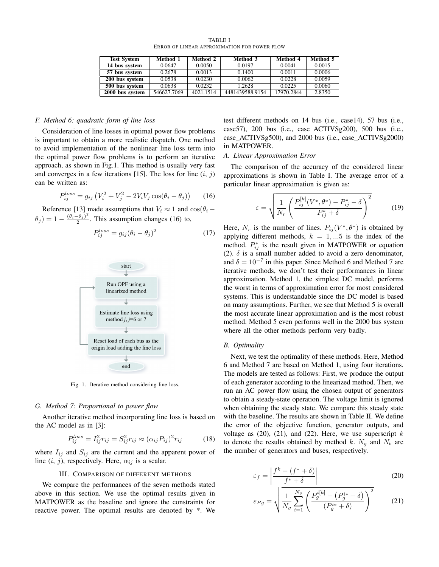| TABLE I                                      |  |
|----------------------------------------------|--|
| ERROR OF LINEAR APPROXIMATION FOR POWER FLOW |  |

| <b>Test System</b> | Method 1    | Method 2  | Method 3        | Method 4   | Method 5 |
|--------------------|-------------|-----------|-----------------|------------|----------|
| 14 bus system      | 0.0647      | 0.0050    | 0.0197          | 0.0041     | 0.0015   |
| 57 bus system      | 0.2678      | 0.0013    | 0.1400          | 0.0011     | 0.0006   |
| 200 bus system     | 0.0538      | 0.0230    | 0.0062          | 0.0228     | 0.0059   |
| 500 bus system     | 0.0638      | 0.0232    | 1.2628          | 0.0225     | 0.0060   |
| 2000 bus system    | 546627.7069 | 4021.1514 | 4481439588.9154 | 17970.2844 | 2.8350   |

#### *F. Method 6: quadratic form of line loss*

Consideration of line losses in optimal power flow problems is important to obtain a more realistic dispatch. One method to avoid implementation of the nonlinear line loss term into the optimal power flow problems is to perform an iterative approach, as shown in Fig.1. This method is usually very fast and converges in a few iterations [15]. The loss for line  $(i, j)$ can be written as:

$$
P_{ij}^{loss} = g_{ij} (V_i^2 + V_j^2 - 2V_i V_j \cos(\theta_i - \theta_j))
$$
 (16)

Reference [13] made assumptions that  $V_i \approx 1$  and  $\cos(\theta_i - \theta_i)$  $(\theta_j) = 1 - \frac{(\theta_i - \theta_j)^2}{2}$  $\frac{-b_j}{2}$ . This assumption changes (16) to,

$$
P_{ij}^{loss} = g_{ij}(\theta_i - \theta_j)^2
$$
 (17)



Fig. 1. Iterative method considering line loss.

## *G. Method 7: Proportional to power flow*

Another iterative method incorporating line loss is based on the AC model as in [3]:

$$
P_{ij}^{loss} = I_{ij}^2 r_{ij} = S_{ij}^2 r_{ij} \approx (\alpha_{ij} P_{ij})^2 r_{ij}
$$
 (18)

where  $I_{ij}$  and  $S_{ij}$  are the current and the apparent power of line  $(i, j)$ , respectively. Here,  $\alpha_{ij}$  is a scalar.

#### III. COMPARISON OF DIFFERENT METHODS

We compare the performances of the seven methods stated above in this section. We use the optimal results given in MATPOWER as the baseline and ignore the constraints for reactive power. The optimal results are denoted by \*. We

test different methods on 14 bus (i.e., case14), 57 bus (i.e., case57), 200 bus (i.e., case ACTIVSg200), 500 bus (i.e., case ACTIVSg500), and 2000 bus (i.e., case ACTIVSg2000) in MATPOWER.

### *A. Linear Approximation Error*

The comparison of the accuracy of the considered linear approximations is shown in Table I. The average error of a particular linear approximation is given as:

$$
\varepsilon = \sqrt{\frac{1}{N_r} \left( \frac{P_{ij}^{[k]}(V^*, \theta^*) - P_{ij}^* - \delta}{P_{ij}^* + \delta} \right)^2}
$$
(19)

Here,  $N_r$  is the number of lines.  $P_{ij}(V^*, \theta^*)$  is obtained by applying different methods,  $k = 1, ...5$  is the index of the method.  $P_{ij}^*$  is the result given in MATPOWER or equation (2).  $\delta$  is a small number added to avoid a zero denominator, and  $\delta = 10^{-7}$  in this paper. Since Method 6 and Method 7 are iterative methods, we don't test their performances in linear approximation. Method 1, the simplest DC model, performs the worst in terms of approximation error for most considered systems. This is understandable since the DC model is based on many assumptions. Further, we see that Method 5 is overall the most accurate linear approximation and is the most robust method. Method 5 even performs well in the 2000 bus system where all the other methods perform very badly.

#### *B. Optimality*

Next, we test the optimality of these methods. Here, Method 6 and Method 7 are based on Method 1, using four iterations. The models are tested as follows: First, we produce the output of each generator according to the linearized method. Then, we run an AC power flow using the chosen output of generators to obtain a steady-state operation. The voltage limit is ignored when obtaining the steady state. We compare this steady state with the baseline. The results are shown in Table II. We define the error of the objective function, generator outputs, and voltage as  $(20)$ ,  $(21)$ , and  $(22)$ . Here, we use superscript k to denote the results obtained by method k.  $N_g$  and  $N_b$  are the number of generators and buses, respectively.

$$
\varepsilon_f = \left| \frac{f^k - (f^* + \delta)}{f^* + \delta} \right| \tag{20}
$$

$$
\varepsilon_{Pg} = \sqrt{\frac{1}{N_g} \sum_{i=1}^{N_g} \left( \frac{P_g^{i[k]} - (P_g^{i*} + \delta)}{(P_g^{i*} + \delta)} \right)^2}
$$
(21)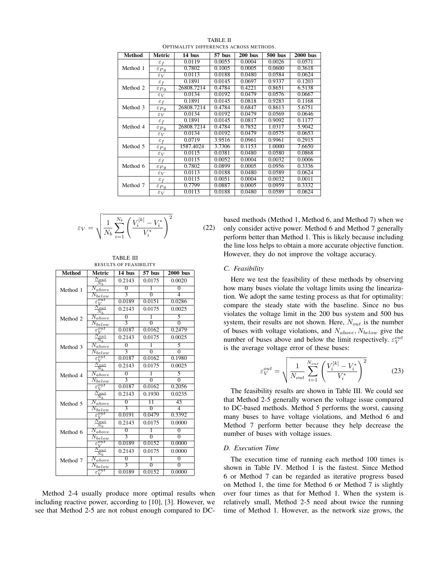| <b>Method</b> | Metric             | 14 bus     | 57 bus | $200$ bus | 500 bus | 2000 bus |
|---------------|--------------------|------------|--------|-----------|---------|----------|
| Method 1      | $\varepsilon_f$    | 0.0119     | 0.0055 | 0.0004    | 0.0026  | 0.0571   |
|               | $\varepsilon_{Pg}$ | 0.7802     | 0.1005 | 0.0005    | 0.0600  | 0.3618   |
|               | $\varepsilon_V$    | 0.0113     | 0.0188 | 0.0480    | 0.0584  | 0.0624   |
|               | $\varepsilon_f$    | 0.1891     | 0.0145 | 0.0697    | 0.9337  | 0.1203   |
| Method 2      | $\varepsilon_{Pg}$ | 26808.7214 | 0.4784 | 0.4221    | 0.8651  | 6.5138   |
|               | $\varepsilon_V$    | 0.0134     | 0.0192 | 0.0479    | 0.0576  | 0.0667   |
|               | $\varepsilon_f$    | 0.1891     | 0.0145 | 0.0818    | 0.9283  | 0.1168   |
| Method 3      | $\varepsilon_{Pg}$ | 26808.7214 | 0.4784 | 0.6847    | 0.8613  | 5.6751   |
|               | $\varepsilon_V$    | 0.0134     | 0.0192 | 0.0479    | 0.0569  | 0.0646   |
|               | $\varepsilon_f$    | 0.1891     | 0.0145 | 0.0817    | 0.9092  | 0.1177   |
| Method 4      | $\varepsilon_{Pq}$ | 26808.7214 | 0.4784 | 0.7852    | 1.0317  | 5.9042   |
|               | $\varepsilon_V$    | 0.0134     | 0.0192 | 0.0479    | 0.0575  | 0.0653   |
| Method 5      | $\varepsilon_f$    | 0.0719     | 3.9516 | 0.0961    | 0.9961  | 0.2915   |
|               | $\varepsilon_{Pq}$ | 1587.4024  | 3.7306 | 0.1153    | 1.0000  | 7.6650   |
|               | $\varepsilon_V$    | 0.0115     | 0.0381 | 0.0480    | 0.0580  | 0.0868   |
|               | $\varepsilon_f$    | 0.0115     | 0.0052 | 0.0004    | 0.0032  | 0.0006   |
| Method 6      | $\varepsilon_{Pq}$ | 0.7802     | 0.0899 | 0.0005    | 0.0956  | 0.3336   |
|               | $\varepsilon_V$    | 0.0113     | 0.0188 | 0.0480    | 0.0589  | 0.0624   |
|               | $\varepsilon_f$    | 0.0115     | 0.0051 | 0.0004    | 0.0032  | 0.0011   |
| Method 7      | $\varepsilon_{Pg}$ | 0.7799     | 0.0887 | 0.0005    | 0.0959  | 0.3332   |
|               | $\varepsilon_V$    | 0.0113     | 0.0188 | 0.0480    | 0.0589  | 0.0624   |

TABLE II OPTIMALITY DIFFERENCES ACROSS METHODS.

$$
\varepsilon_V = \sqrt{\frac{1}{N_b} \sum_{i=1}^{N_b} \left( \frac{V_i^{[k]} - V_i^*}{V_i^*} \right)^2}
$$
 (22)

TABLE III RESULTS OF FEASIBILITY

| <b>Method</b> | Metric                                  | 14 bus         | 57 bus          | <b>2000</b> bus    |
|---------------|-----------------------------------------|----------------|-----------------|--------------------|
|               | $N_{out}$<br>$\rm \bar{\textit{N}}_{b}$ | 0.2143         | 0.0175          | 0.0020             |
| Method 1      | Λ<br>above                              | $\overline{0}$ | 1               | $\overline{0}$     |
|               | N<br>below                              | 3              | $\overline{0}$  | $\overline{\bf 4}$ |
|               | $\overline{\it out}$                    | 0.0189         | 0.0151          | 0.0286             |
|               | Vout<br>$N_h$                           | 0.2143         | 0.0175          | 0.0025             |
| Method 2      | above                                   | $\overline{0}$ | 1               | 5                  |
|               | $_{below}$                              | $\overline{3}$ | $\overline{0}$  | $\overline{0}$     |
|               | .out                                    | 0.0187         | 0.0162          | 0.2479             |
|               | $\mathbf{v}_{out}$<br>$N_h$             | 0.2143         | 0.0175          | 0.0025             |
| Method 3      | Ν<br>above                              | $\Omega$       | 1               | 5                  |
|               | Λ<br>below                              | 3              | $\Omega$        | $\Omega$           |
|               | $\epsilon$ out<br>V                     | 0.0187         | 0.0162          | 0.1980             |
|               | $v_{out}$<br>$N_h$                      | 0.2143         | 0.0175          | 0.0025             |
| Method 4      | Ν<br>above                              | $\theta$       | 1               | 5                  |
|               | N<br>below                              | 3              | $\overline{0}$  | $\overline{0}$     |
|               | $e^{\alpha u t}$                        | 0.0187         | 0.0162          | 0.2056             |
|               | $N_{out}$<br>$N_h$                      | 0.2143         | 0.1930          | 0.0235             |
| Method 5      | above                                   | $\overline{0}$ | $\overline{11}$ | 43                 |
|               | below                                   | 3              | $\overline{0}$  | 4                  |
|               | $\varepsilon_V^{out}$                   | 0.0191         | 0.0479          | 0.3392             |
|               | $N_{out}$<br>$\rm \bar N_b$             | 0.2143         | 0.0175          | 0.0000             |
| Method 6      | above                                   | $\overline{0}$ | ī               | $\overline{0}$     |
|               | below                                   | $\overline{3}$ | $\overline{0}$  | $\overline{0}$     |
|               | $\overline{\it out}$                    | 0.0189         | 0.0152          | 0.0000             |
|               | Vout<br>$N_h$                           | 0.2143         | 0.0175          | 0.0000             |
| Method 7      | above                                   | $\overline{0}$ | 1               | $\overline{0}$     |
|               | below                                   | 3              | $\Omega$        | $\overline{0}$     |
|               | $\overline{\varepsilon^{out}}$<br>'V    | 0.0189         | 0.0152          | 0.0000             |

Method 2-4 usually produce more optimal results when including reactive power, according to [10], [3]. However, we see that Method 2-5 are not robust enough compared to DC-

based methods (Method 1, Method 6, and Method 7) when we only consider active power. Method 6 and Method 7 generally perform better than Method 1. This is likely because including the line loss helps to obtain a more accurate objective function. However, they do not improve the voltage accuracy.

## *C. Feasibility*

Here we test the feasibility of these methods by observing how many buses violate the voltage limits using the linearization. We adopt the same testing process as that for optimality: compare the steady state with the baseline. Since no bus violates the voltage limit in the 200 bus system and 500 bus system, their results are not shown. Here,  $N_{out}$  is the number of buses with voltage violations, and  $N_{above}$ ,  $N_{below}$  give the number of buses above and below the limit respectively.  $\varepsilon_V^{out}$ is the average voltage error of these buses:

$$
\varepsilon_V^{out} = \sqrt{\frac{1}{N_{out}} \sum_{i=1}^{N_{out}} \left(\frac{V_i^{[k]} - V_i^*}{V_i^*}\right)^2}
$$
(23)

The feasibility results are shown in Table III. We could see that Method 2-5 generally worsen the voltage issue compared to DC-based methods. Method 5 performs the worst, causing many buses to have voltage violations, and Method 6 and Method 7 perform better because they help decrease the number of buses with voltage issues.

## *D. Execution Time*

The execution time of running each method 100 times is shown in Table IV. Method 1 is the fastest. Since Method 6 or Method 7 can be regarded as iterative progress based on Method 1, the time for Method 6 or Method 7 is slightly over four times as that for Method 1. When the system is relatively small, Method 2-5 need about twice the running time of Method 1. However, as the network size grows, the